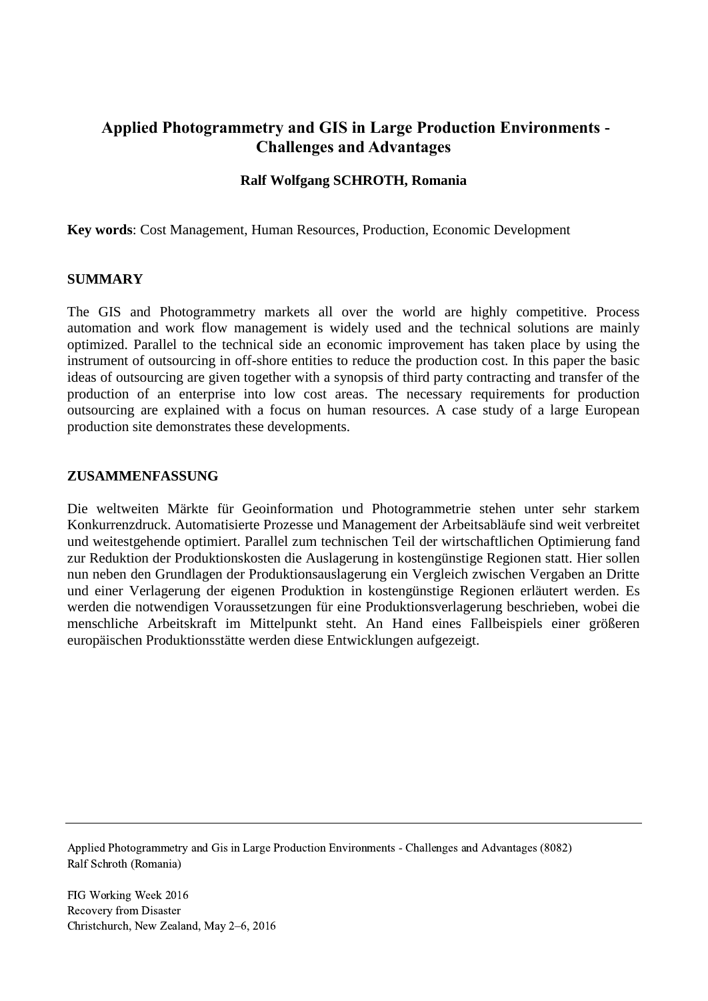# **Applied Photogrammetry and GIS in Large Production Environments - Challenges and Advantages**

#### **Ralf Wolfgang SCHROTH, Romania**

**Key words**: Cost Management, Human Resources, Production, Economic Development

#### **SUMMARY**

The GIS and Photogrammetry markets all over the world are highly competitive. Process automation and work flow management is widely used and the technical solutions are mainly optimized. Parallel to the technical side an economic improvement has taken place by using the instrument of outsourcing in off-shore entities to reduce the production cost. In this paper the basic ideas of outsourcing are given together with a synopsis of third party contracting and transfer of the production of an enterprise into low cost areas. The necessary requirements for production outsourcing are explained with a focus on human resources. A case study of a large European production site demonstrates these developments.

#### **ZUSAMMENFASSUNG**

Die weltweiten Märkte für Geoinformation und Photogrammetrie stehen unter sehr starkem Konkurrenzdruck. Automatisierte Prozesse und Management der Arbeitsabläufe sind weit verbreitet und weitestgehende optimiert. Parallel zum technischen Teil der wirtschaftlichen Optimierung fand zur Reduktion der Produktionskosten die Auslagerung in kostengünstige Regionen statt. Hier sollen nun neben den Grundlagen der Produktionsauslagerung ein Vergleich zwischen Vergaben an Dritte und einer Verlagerung der eigenen Produktion in kostengünstige Regionen erläutert werden. Es werden die notwendigen Voraussetzungen für eine Produktionsverlagerung beschrieben, wobei die menschliche Arbeitskraft im Mittelpunkt steht. An Hand eines Fallbeispiels einer größeren europäischen Produktionsstätte werden diese Entwicklungen aufgezeigt.

Applied Photogrammetry and Gis in Large Production Environments - Challenges and Advantages (8082) Ralf Schroth (Romania)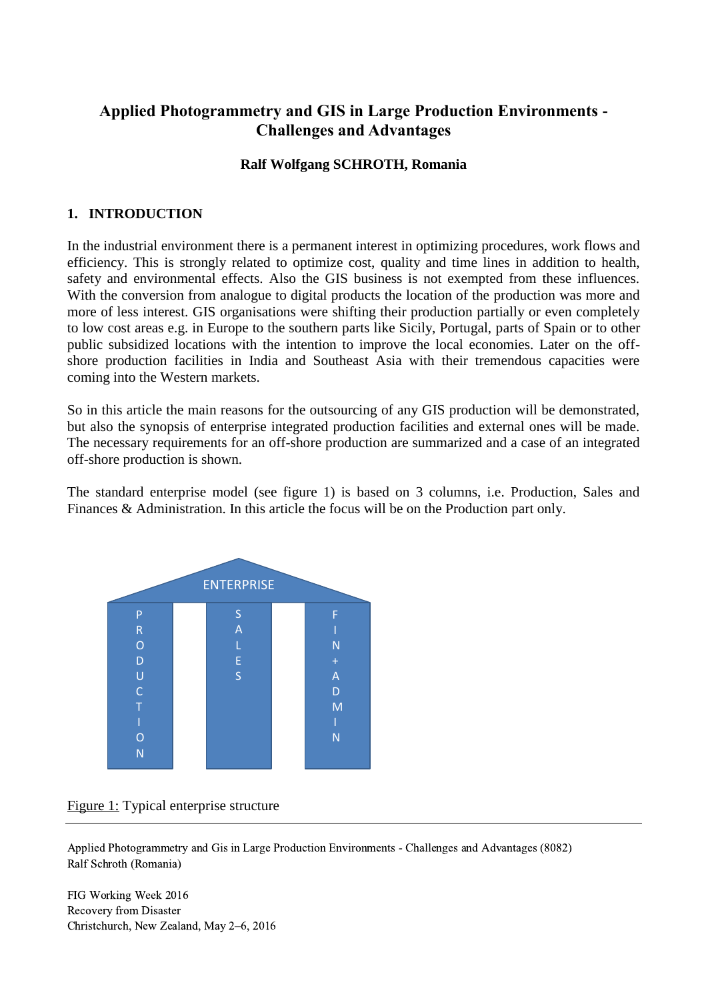# **Applied Photogrammetry and GIS in Large Production Environments - Challenges and Advantages**

# **Ralf Wolfgang SCHROTH, Romania**

## **1. INTRODUCTION**

In the industrial environment there is a permanent interest in optimizing procedures, work flows and efficiency. This is strongly related to optimize cost, quality and time lines in addition to health, safety and environmental effects. Also the GIS business is not exempted from these influences. With the conversion from analogue to digital products the location of the production was more and more of less interest. GIS organisations were shifting their production partially or even completely to low cost areas e.g. in Europe to the southern parts like Sicily, Portugal, parts of Spain or to other public subsidized locations with the intention to improve the local economies. Later on the offshore production facilities in India and Southeast Asia with their tremendous capacities were coming into the Western markets.

So in this article the main reasons for the outsourcing of any GIS production will be demonstrated, but also the synopsis of enterprise integrated production facilities and external ones will be made. The necessary requirements for an off-shore production are summarized and a case of an integrated off-shore production is shown.

The standard enterprise model (see figure 1) is based on 3 columns, i.e. Production, Sales and Finances & Administration. In this article the focus will be on the Production part only.



## Figure 1: Typical enterprise structure

Applied Photogrammetry and Gis in Large Production Environments - Challenges and Advantages (8082) Ralf Schroth (Romania)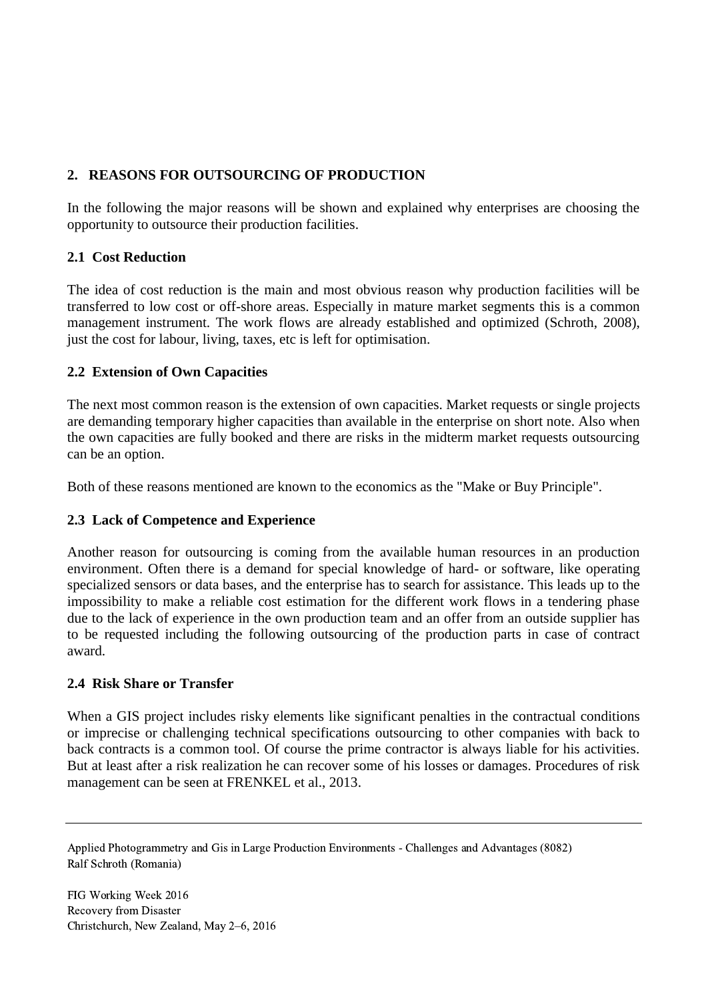# **2. REASONS FOR OUTSOURCING OF PRODUCTION**

In the following the major reasons will be shown and explained why enterprises are choosing the opportunity to outsource their production facilities.

## **2.1 Cost Reduction**

The idea of cost reduction is the main and most obvious reason why production facilities will be transferred to low cost or off-shore areas. Especially in mature market segments this is a common management instrument. The work flows are already established and optimized (Schroth, 2008), just the cost for labour, living, taxes, etc is left for optimisation.

## **2.2 Extension of Own Capacities**

The next most common reason is the extension of own capacities. Market requests or single projects are demanding temporary higher capacities than available in the enterprise on short note. Also when the own capacities are fully booked and there are risks in the midterm market requests outsourcing can be an option.

Both of these reasons mentioned are known to the economics as the "Make or Buy Principle".

## **2.3 Lack of Competence and Experience**

Another reason for outsourcing is coming from the available human resources in an production environment. Often there is a demand for special knowledge of hard- or software, like operating specialized sensors or data bases, and the enterprise has to search for assistance. This leads up to the impossibility to make a reliable cost estimation for the different work flows in a tendering phase due to the lack of experience in the own production team and an offer from an outside supplier has to be requested including the following outsourcing of the production parts in case of contract award.

## **2.4 Risk Share or Transfer**

When a GIS project includes risky elements like significant penalties in the contractual conditions or imprecise or challenging technical specifications outsourcing to other companies with back to back contracts is a common tool. Of course the prime contractor is always liable for his activities. But at least after a risk realization he can recover some of his losses or damages. Procedures of risk management can be seen at FRENKEL et al., 2013.

Applied Photogrammetry and Gis in Large Production Environments - Challenges and Advantages (8082) Ralf Schroth (Romania)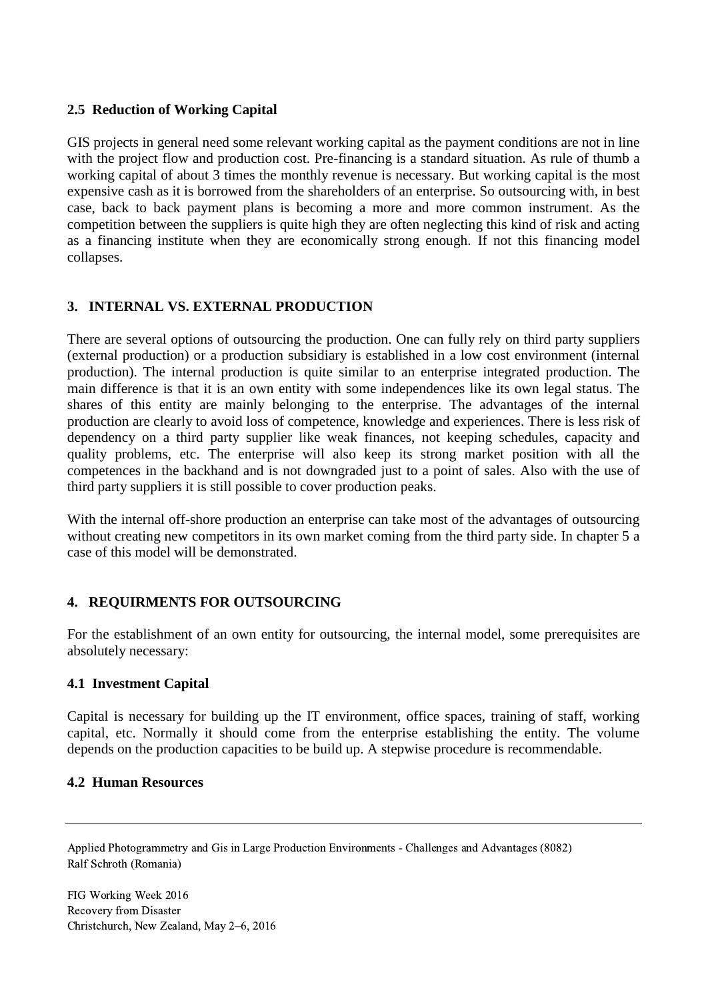## **2.5 Reduction of Working Capital**

GIS projects in general need some relevant working capital as the payment conditions are not in line with the project flow and production cost. Pre-financing is a standard situation. As rule of thumb a working capital of about 3 times the monthly revenue is necessary. But working capital is the most expensive cash as it is borrowed from the shareholders of an enterprise. So outsourcing with, in best case, back to back payment plans is becoming a more and more common instrument. As the competition between the suppliers is quite high they are often neglecting this kind of risk and acting as a financing institute when they are economically strong enough. If not this financing model collapses.

# **3. INTERNAL VS. EXTERNAL PRODUCTION**

There are several options of outsourcing the production. One can fully rely on third party suppliers (external production) or a production subsidiary is established in a low cost environment (internal production). The internal production is quite similar to an enterprise integrated production. The main difference is that it is an own entity with some independences like its own legal status. The shares of this entity are mainly belonging to the enterprise. The advantages of the internal production are clearly to avoid loss of competence, knowledge and experiences. There is less risk of dependency on a third party supplier like weak finances, not keeping schedules, capacity and quality problems, etc. The enterprise will also keep its strong market position with all the competences in the backhand and is not downgraded just to a point of sales. Also with the use of third party suppliers it is still possible to cover production peaks.

With the internal off-shore production an enterprise can take most of the advantages of outsourcing without creating new competitors in its own market coming from the third party side. In chapter 5 a case of this model will be demonstrated.

## **4. REQUIRMENTS FOR OUTSOURCING**

For the establishment of an own entity for outsourcing, the internal model, some prerequisites are absolutely necessary:

## **4.1 Investment Capital**

Capital is necessary for building up the IT environment, office spaces, training of staff, working capital, etc. Normally it should come from the enterprise establishing the entity. The volume depends on the production capacities to be build up. A stepwise procedure is recommendable.

#### **4.2 Human Resources**

Applied Photogrammetry and Gis in Large Production Environments - Challenges and Advantages (8082) Ralf Schroth (Romania)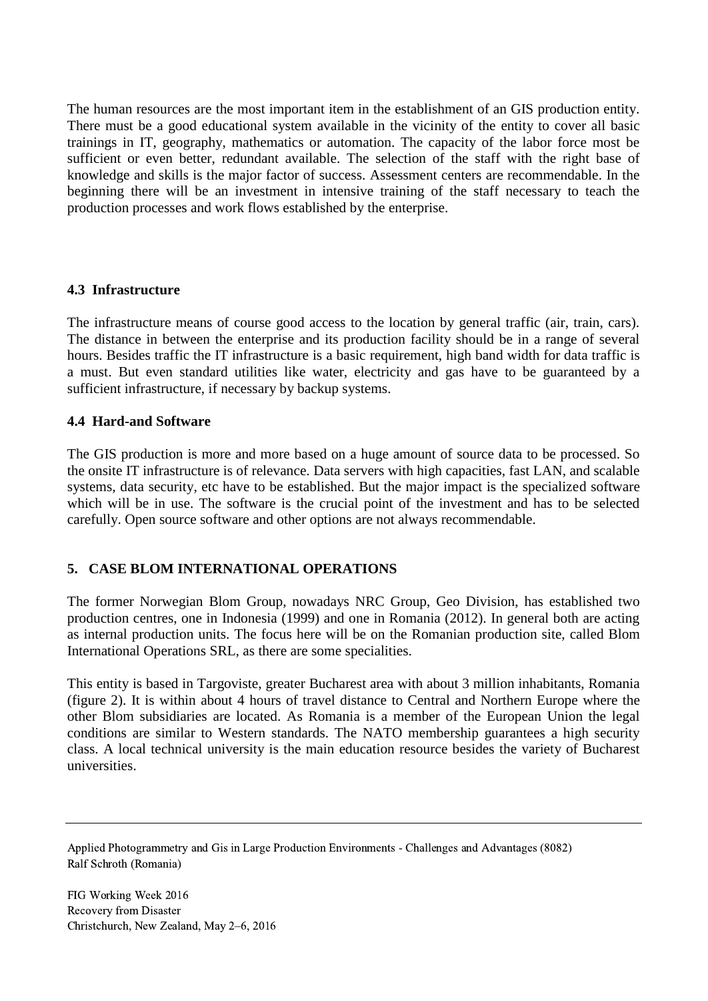The human resources are the most important item in the establishment of an GIS production entity. There must be a good educational system available in the vicinity of the entity to cover all basic trainings in IT, geography, mathematics or automation. The capacity of the labor force most be sufficient or even better, redundant available. The selection of the staff with the right base of knowledge and skills is the major factor of success. Assessment centers are recommendable. In the beginning there will be an investment in intensive training of the staff necessary to teach the production processes and work flows established by the enterprise.

#### **4.3 Infrastructure**

The infrastructure means of course good access to the location by general traffic (air, train, cars). The distance in between the enterprise and its production facility should be in a range of several hours. Besides traffic the IT infrastructure is a basic requirement, high band width for data traffic is a must. But even standard utilities like water, electricity and gas have to be guaranteed by a sufficient infrastructure, if necessary by backup systems.

#### **4.4 Hard-and Software**

The GIS production is more and more based on a huge amount of source data to be processed. So the onsite IT infrastructure is of relevance. Data servers with high capacities, fast LAN, and scalable systems, data security, etc have to be established. But the major impact is the specialized software which will be in use. The software is the crucial point of the investment and has to be selected carefully. Open source software and other options are not always recommendable.

## **5. CASE BLOM INTERNATIONAL OPERATIONS**

The former Norwegian Blom Group, nowadays NRC Group, Geo Division, has established two production centres, one in Indonesia (1999) and one in Romania (2012). In general both are acting as internal production units. The focus here will be on the Romanian production site, called Blom International Operations SRL, as there are some specialities.

This entity is based in Targoviste, greater Bucharest area with about 3 million inhabitants, Romania (figure 2). It is within about 4 hours of travel distance to Central and Northern Europe where the other Blom subsidiaries are located. As Romania is a member of the European Union the legal conditions are similar to Western standards. The NATO membership guarantees a high security class. A local technical university is the main education resource besides the variety of Bucharest universities.

Applied Photogrammetry and Gis in Large Production Environments - Challenges and Advantages (8082) Ralf Schroth (Romania)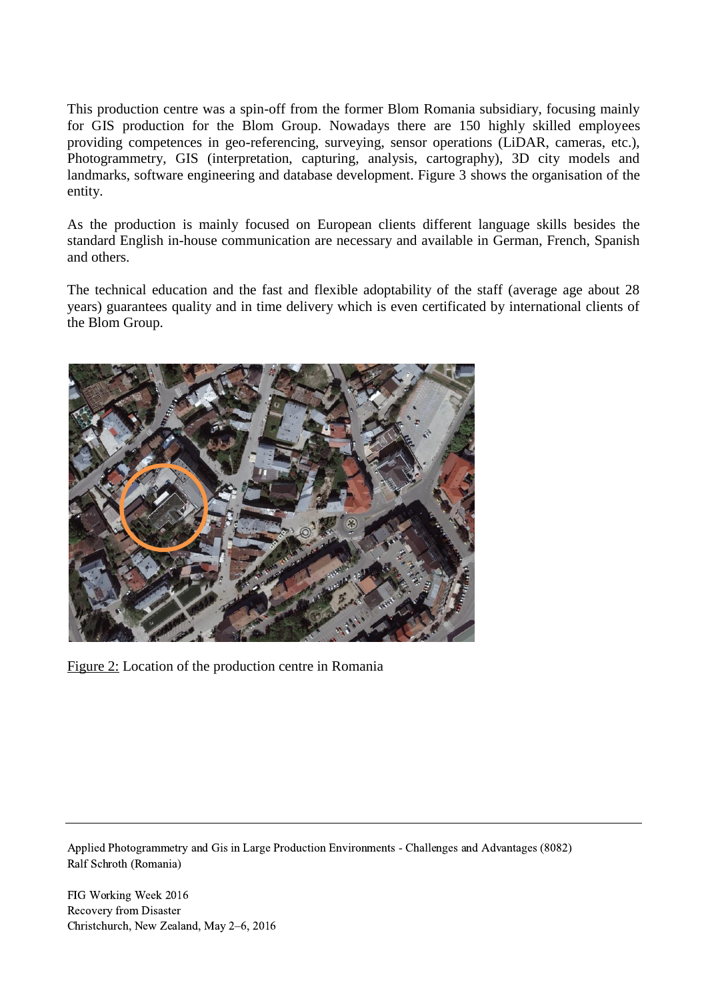This production centre was a spin-off from the former Blom Romania subsidiary, focusing mainly for GIS production for the Blom Group. Nowadays there are 150 highly skilled employees providing competences in geo-referencing, surveying, sensor operations (LiDAR, cameras, etc.), Photogrammetry, GIS (interpretation, capturing, analysis, cartography), 3D city models and landmarks, software engineering and database development. Figure 3 shows the organisation of the entity.

As the production is mainly focused on European clients different language skills besides the standard English in-house communication are necessary and available in German, French, Spanish and others.

The technical education and the fast and flexible adoptability of the staff (average age about 28 years) guarantees quality and in time delivery which is even certificated by international clients of the Blom Group.



Figure 2: Location of the production centre in Romania

Applied Photogrammetry and Gis in Large Production Environments - Challenges and Advantages (8082) Ralf Schroth (Romania)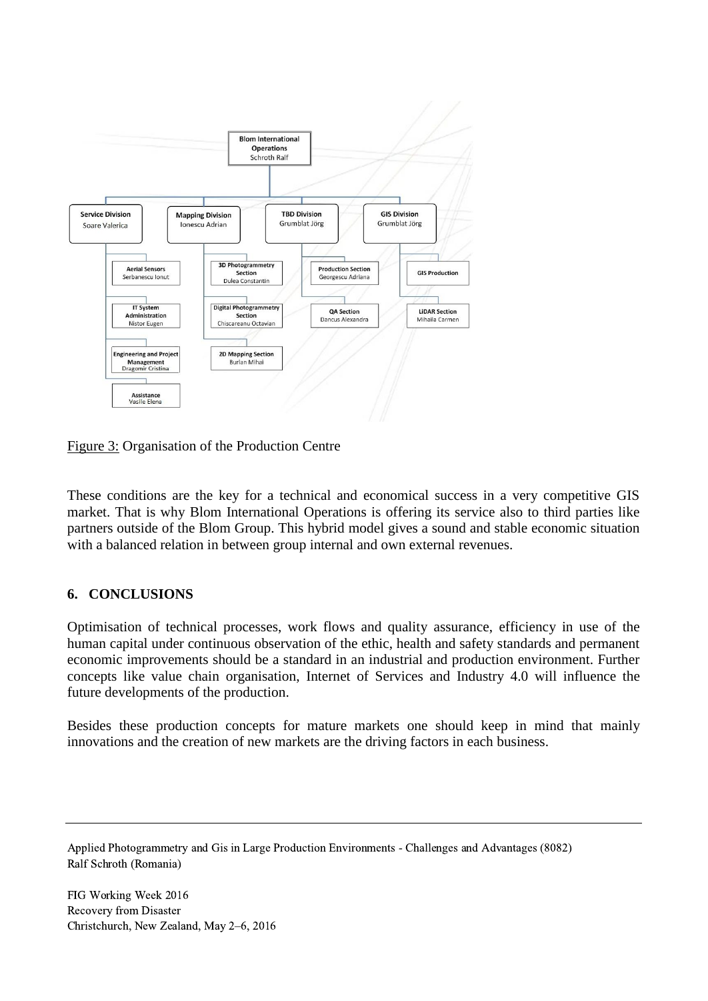

Figure 3: Organisation of the Production Centre

These conditions are the key for a technical and economical success in a very competitive GIS market. That is why Blom International Operations is offering its service also to third parties like partners outside of the Blom Group. This hybrid model gives a sound and stable economic situation with a balanced relation in between group internal and own external revenues.

## **6. CONCLUSIONS**

Optimisation of technical processes, work flows and quality assurance, efficiency in use of the human capital under continuous observation of the ethic, health and safety standards and permanent economic improvements should be a standard in an industrial and production environment. Further concepts like value chain organisation, Internet of Services and Industry 4.0 will influence the future developments of the production.

Besides these production concepts for mature markets one should keep in mind that mainly innovations and the creation of new markets are the driving factors in each business.

Applied Photogrammetry and Gis in Large Production Environments - Challenges and Advantages (8082) Ralf Schroth (Romania)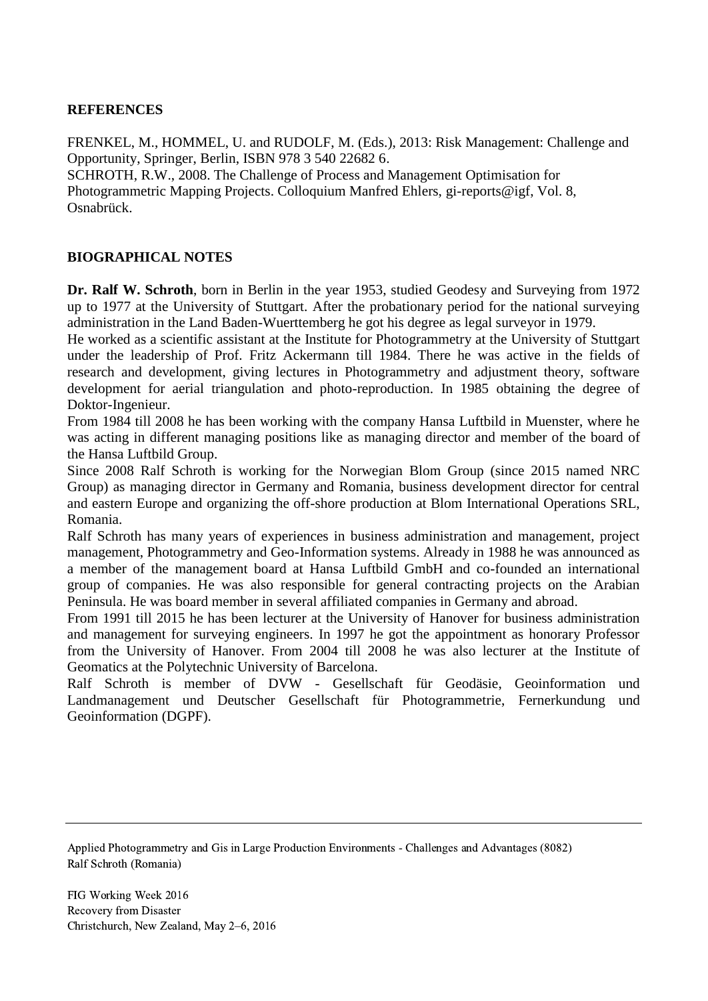#### **REFERENCES**

FRENKEL, M., HOMMEL, U. and RUDOLF, M. (Eds.), 2013: Risk Management: Challenge and Opportunity, Springer, Berlin, ISBN 978 3 540 22682 6.

SCHROTH, R.W., 2008. The Challenge of Process and Management Optimisation for Photogrammetric Mapping Projects. Colloquium Manfred Ehlers, gi-reports@igf, Vol. 8, Osnabrück.

#### **BIOGRAPHICAL NOTES**

**Dr. Ralf W. Schroth**, born in Berlin in the year 1953, studied Geodesy and Surveying from 1972 up to 1977 at the University of Stuttgart. After the probationary period for the national surveying administration in the Land Baden-Wuerttemberg he got his degree as legal surveyor in 1979.

He worked as a scientific assistant at the Institute for Photogrammetry at the University of Stuttgart under the leadership of Prof. Fritz Ackermann till 1984. There he was active in the fields of research and development, giving lectures in Photogrammetry and adjustment theory, software development for aerial triangulation and photo-reproduction. In 1985 obtaining the degree of Doktor-Ingenieur.

From 1984 till 2008 he has been working with the company Hansa Luftbild in Muenster, where he was acting in different managing positions like as managing director and member of the board of the Hansa Luftbild Group.

Since 2008 Ralf Schroth is working for the Norwegian Blom Group (since 2015 named NRC Group) as managing director in Germany and Romania, business development director for central and eastern Europe and organizing the off-shore production at Blom International Operations SRL, Romania.

Ralf Schroth has many years of experiences in business administration and management, project management, Photogrammetry and Geo-Information systems. Already in 1988 he was announced as a member of the management board at Hansa Luftbild GmbH and co-founded an international group of companies. He was also responsible for general contracting projects on the Arabian Peninsula. He was board member in several affiliated companies in Germany and abroad.

From 1991 till 2015 he has been lecturer at the University of Hanover for business administration and management for surveying engineers. In 1997 he got the appointment as honorary Professor from the University of Hanover. From 2004 till 2008 he was also lecturer at the Institute of Geomatics at the Polytechnic University of Barcelona.

Ralf Schroth is member of DVW - Gesellschaft für Geodäsie, Geoinformation und Landmanagement und Deutscher Gesellschaft für Photogrammetrie, Fernerkundung und Geoinformation (DGPF).

Applied Photogrammetry and Gis in Large Production Environments - Challenges and Advantages (8082) Ralf Schroth (Romania)